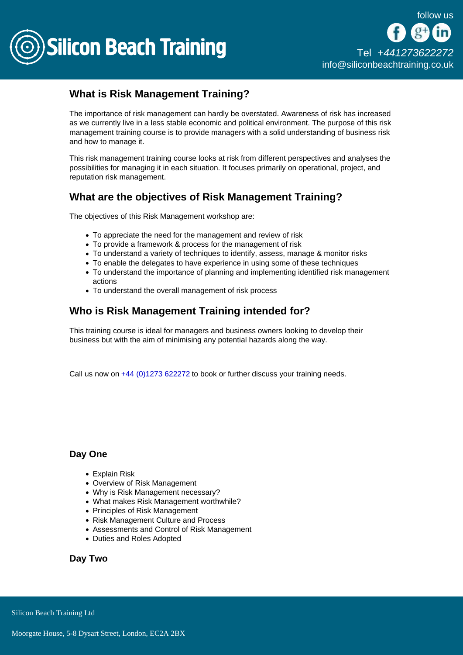

## What is Risk Management Training?

The importance of risk management can hardly be overstated. Awareness of risk has increased as we currently live in a less stable economic and political environment. The purpose of this risk management training course is to provide managers with a solid understanding of business risk and how to manage it.

This risk management training course looks at risk from different perspectives and analyses the possibilities for managing it in each situation. It focuses primarily on operational, project, and reputation risk management.

## What are the objectives of Risk Management Training?

The objectives of this Risk Management workshop are:

- To appreciate the need for the management and review of risk
- To provide a framework & process for the management of risk
- To understand a variety of techniques to identify, assess, manage & monitor risks
- To enable the delegates to have experience in using some of these techniques
- To understand the importance of planning and implementing identified risk management actions
- To understand the overall management of risk process

## Who is Risk Management Training intended for?

This training course is ideal for managers and business owners looking to develop their business but with the aim of minimising any potential hazards along the way.

Call us now on [+44 \(0\)1273 622272](tel:441273622272) to book or further discuss your training needs.

Day One

- Explain Risk
- Overview of Risk Management
- Why is Risk Management necessary?
- What makes Risk Management worthwhile?
- Principles of Risk Management
- Risk Management Culture and Process
- Assessments and Control of Risk Management
- Duties and Roles Adopted

Day Two

Silicon Beach Training Ltd